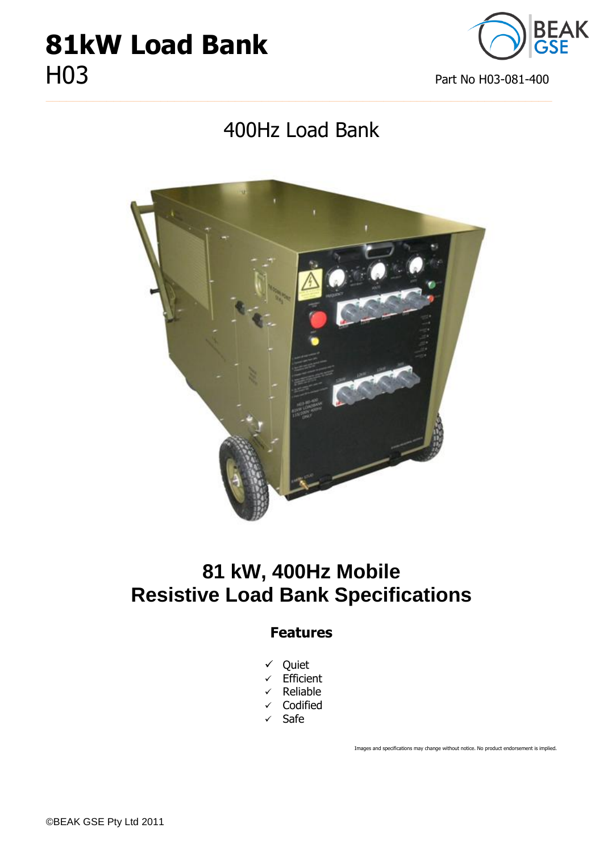# **81kW Load Bank** HO3 Part No H03-081-400



## 400Hz Load Bank

**\_\_\_\_\_\_\_\_\_\_\_\_\_\_\_\_\_\_\_\_\_\_\_\_\_\_\_\_\_\_\_\_\_\_\_\_\_\_\_\_\_\_\_\_\_\_\_\_\_\_\_\_\_\_\_\_\_\_\_\_\_\_\_\_\_\_\_\_\_\_\_\_\_\_\_**



## **81 kW, 400Hz Mobile Resistive Load Bank Specifications**

#### **Features**

- Quiet
- $\checkmark$  Efficient
- $\checkmark$  Reliable
- $\checkmark$  Codified
- $\checkmark$  Safe

Images and specifications may change without notice. No product endorsement is implied.